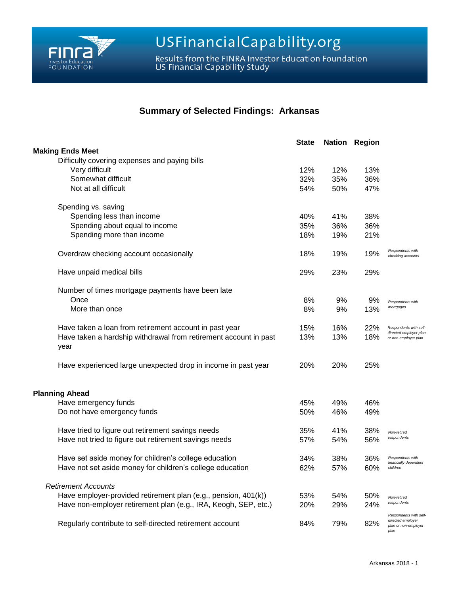

Results from the FINRA Investor Education Foundation<br>US Financial Capability Study

## **Summary of Selected Findings: Arkansas**

|                                                                          | <b>State</b> |     | Nation Region |                                                                             |
|--------------------------------------------------------------------------|--------------|-----|---------------|-----------------------------------------------------------------------------|
| <b>Making Ends Meet</b>                                                  |              |     |               |                                                                             |
| Difficulty covering expenses and paying bills                            |              |     |               |                                                                             |
| Very difficult                                                           | 12%          | 12% | 13%           |                                                                             |
| Somewhat difficult                                                       | 32%          | 35% | 36%           |                                                                             |
| Not at all difficult                                                     | 54%          | 50% | 47%           |                                                                             |
| Spending vs. saving                                                      |              |     |               |                                                                             |
| Spending less than income                                                | 40%          | 41% | 38%           |                                                                             |
| Spending about equal to income                                           | 35%          | 36% | 36%           |                                                                             |
| Spending more than income                                                | 18%          | 19% | 21%           |                                                                             |
| Overdraw checking account occasionally                                   | 18%          | 19% | 19%           | Respondents with<br>checking accounts                                       |
| Have unpaid medical bills                                                | 29%          | 23% | 29%           |                                                                             |
| Number of times mortgage payments have been late                         |              |     |               |                                                                             |
| Once                                                                     | 8%           | 9%  | 9%            | Respondents with                                                            |
| More than once                                                           | 8%           | 9%  | 13%           | mortgages                                                                   |
| Have taken a loan from retirement account in past year                   | 15%          | 16% | 22%           | Respondents with self-                                                      |
| Have taken a hardship withdrawal from retirement account in past<br>year | 13%          | 13% | 18%           | directed employer plan<br>or non-employer plan                              |
| Have experienced large unexpected drop in income in past year            | 20%          | 20% | 25%           |                                                                             |
| <b>Planning Ahead</b>                                                    |              |     |               |                                                                             |
| Have emergency funds                                                     | 45%          | 49% | 46%           |                                                                             |
| Do not have emergency funds                                              | 50%          | 46% | 49%           |                                                                             |
| Have tried to figure out retirement savings needs                        | 35%          | 41% | 38%           | Non-retired                                                                 |
| Have not tried to figure out retirement savings needs                    | 57%          | 54% | 56%           | respondents                                                                 |
| Have set aside money for children's college education                    | 34%          | 38% | 36%           | Respondents with                                                            |
| Have not set aside money for children's college education                | 62%          | 57% | 60%           | financially dependent<br>children                                           |
| <b>Retirement Accounts</b>                                               |              |     |               |                                                                             |
| Have employer-provided retirement plan (e.g., pension, 401(k))           | 53%          | 54% | 50%           | Non-retired                                                                 |
| Have non-employer retirement plan (e.g., IRA, Keogh, SEP, etc.)          | 20%          | 29% | 24%           | respondents                                                                 |
| Regularly contribute to self-directed retirement account                 | 84%          | 79% | 82%           | Respondents with self-<br>directed employer<br>plan or non-employer<br>plan |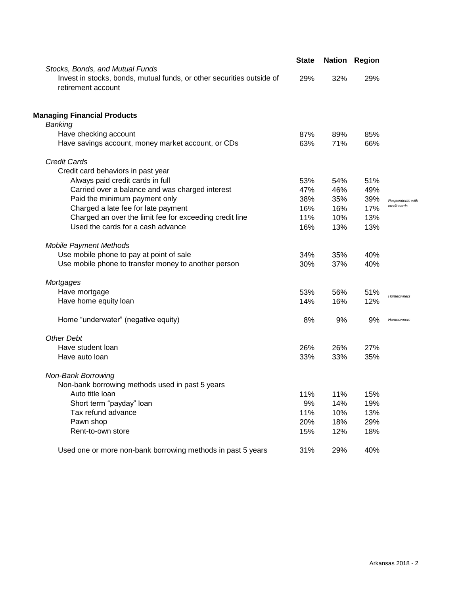| Stocks, Bonds, and Mutual Funds                                                             | <b>State</b> |     | <b>Nation Region</b> |                  |
|---------------------------------------------------------------------------------------------|--------------|-----|----------------------|------------------|
| Invest in stocks, bonds, mutual funds, or other securities outside of<br>retirement account | 29%          | 32% | 29%                  |                  |
| <b>Managing Financial Products</b>                                                          |              |     |                      |                  |
| Banking                                                                                     |              |     |                      |                  |
| Have checking account                                                                       | 87%          | 89% | 85%                  |                  |
| Have savings account, money market account, or CDs                                          | 63%          | 71% | 66%                  |                  |
| <b>Credit Cards</b>                                                                         |              |     |                      |                  |
| Credit card behaviors in past year                                                          |              |     |                      |                  |
| Always paid credit cards in full                                                            | 53%          | 54% | 51%                  |                  |
| Carried over a balance and was charged interest                                             | 47%          | 46% | 49%                  |                  |
| Paid the minimum payment only                                                               | 38%          | 35% | 39%                  | Respondents with |
| Charged a late fee for late payment                                                         | 16%          | 16% | 17%                  | credit cards     |
| Charged an over the limit fee for exceeding credit line                                     | 11%          | 10% | 13%                  |                  |
| Used the cards for a cash advance                                                           | 16%          | 13% | 13%                  |                  |
| <b>Mobile Payment Methods</b>                                                               |              |     |                      |                  |
| Use mobile phone to pay at point of sale                                                    | 34%          | 35% | 40%                  |                  |
| Use mobile phone to transfer money to another person                                        | 30%          | 37% | 40%                  |                  |
| Mortgages                                                                                   |              |     |                      |                  |
| Have mortgage                                                                               | 53%          | 56% | 51%                  |                  |
| Have home equity loan                                                                       | 14%          | 16% | 12%                  | Homeowners       |
| Home "underwater" (negative equity)                                                         | 8%           | 9%  | 9%                   | Homeowners       |
| <b>Other Debt</b>                                                                           |              |     |                      |                  |
| Have student loan                                                                           | 26%          | 26% | 27%                  |                  |
| Have auto loan                                                                              | 33%          | 33% | 35%                  |                  |
| Non-Bank Borrowing                                                                          |              |     |                      |                  |
| Non-bank borrowing methods used in past 5 years                                             |              |     |                      |                  |
| Auto title loan                                                                             | 11%          | 11% | 15%                  |                  |
| Short term "payday" loan                                                                    | 9%           | 14% | 19%                  |                  |
| Tax refund advance                                                                          | 11%          | 10% | 13%                  |                  |
| Pawn shop                                                                                   | 20%          | 18% | 29%                  |                  |
| Rent-to-own store                                                                           | 15%          | 12% | 18%                  |                  |
| Used one or more non-bank borrowing methods in past 5 years                                 | 31%          | 29% | 40%                  |                  |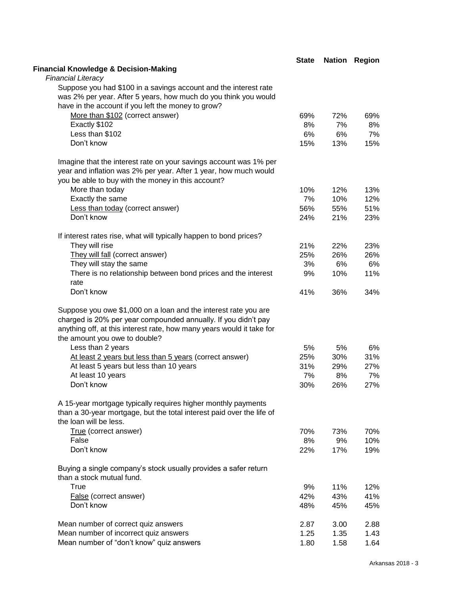| <b>State</b> |                               | <b>Nation Region</b>                  |
|--------------|-------------------------------|---------------------------------------|
|              |                               |                                       |
|              |                               |                                       |
|              |                               |                                       |
|              |                               |                                       |
|              |                               |                                       |
| 69%          | 72%                           | 69%                                   |
| 8%           | 7%                            | 8%                                    |
| 6%           | 6%                            | 7%                                    |
| 15%          | 13%                           | 15%                                   |
|              |                               |                                       |
|              |                               |                                       |
|              |                               |                                       |
| 10%          | 12%                           | 13%                                   |
| 7%           | 10%                           | 12%                                   |
| 56%          | 55%                           | 51%                                   |
| 24%          | 21%                           | 23%                                   |
|              |                               |                                       |
| 21%          | 22%                           | 23%                                   |
| 25%          | 26%                           | 26%                                   |
| 3%           | 6%                            | 6%                                    |
| 9%           | 10%                           | 11%                                   |
| 41%          | 36%                           | 34%                                   |
|              |                               |                                       |
|              |                               |                                       |
|              |                               |                                       |
|              |                               |                                       |
|              |                               | 6%                                    |
|              |                               | 31%                                   |
|              |                               | 27%                                   |
|              |                               | 7%                                    |
|              |                               | 27%                                   |
|              |                               |                                       |
|              |                               |                                       |
|              |                               |                                       |
|              |                               |                                       |
| 70%          | 73%                           | 70%                                   |
| 8%           | 9%                            | 10%                                   |
| 22%          | 17%                           | 19%                                   |
|              |                               |                                       |
|              |                               |                                       |
| 9%           | 11%                           | 12%                                   |
| 42%          | 43%                           | 41%                                   |
| 48%          | 45%                           | 45%                                   |
| 2.87         |                               | 2.88                                  |
| 1.25         | 1.35                          | 1.43                                  |
| 1.80         | 1.58                          | 1.64                                  |
|              | 5%<br>25%<br>31%<br>7%<br>30% | 5%<br>30%<br>29%<br>8%<br>26%<br>3.00 |